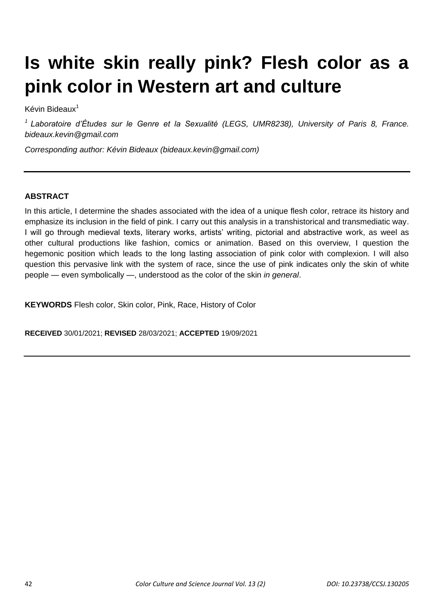# **Is white skin really pink? Flesh color as a pink color in Western art and culture**

Kévin Bideaux<sup>1</sup>

*<sup>1</sup>Laboratoire d'Études sur le Genre et la Sexualité (LEGS, UMR8238), University of Paris 8, France. bideaux.kevin@gmail.com*

*Corresponding author: Kévin Bideaux (bideaux.kevin@gmail.com)*

## **ABSTRACT**

In this article, I determine the shades associated with the idea of a unique flesh color, retrace its history and emphasize its inclusion in the field of pink. I carry out this analysis in a transhistorical and transmediatic way. I will go through medieval texts, literary works, artists' writing, pictorial and abstractive work, as weel as other cultural productions like fashion, comics or animation. Based on this overview, I question the hegemonic position which leads to the long lasting association of pink color with complexion. I will also question this pervasive link with the system of race, since the use of pink indicates only the skin of white people — even symbolically —, understood as the color of the skin *in general*.

**KEYWORDS** Flesh color, Skin color, Pink, Race, History of Color

**RECEIVED** 30/01/2021; **REVISED** 28/03/2021; **ACCEPTED** 19/09/2021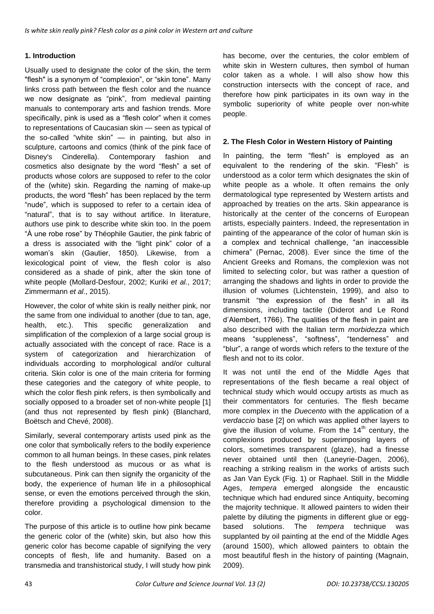## **1. Introduction**

Usually used to designate the color of the skin, the term "flesh" is a synonym of "complexion", or "skin tone". Many links cross path between the flesh color and the nuance we now designate as "pink", from medieval painting manuals to contemporary arts and fashion trends. More specifically, pink is used as a "flesh color" when it comes to representations of Caucasian skin — seen as typical of the so-called "white skin" — in painting, but also in sculpture, cartoons and comics (think of the pink face of Disney's Cinderella). Contemporary fashion and cosmetics also designate by the word "flesh" a set of products whose colors are supposed to refer to the color of the (white) skin. Regarding the naming of make-up products, the word "flesh" has been replaced by the term "nude", which is supposed to refer to a certain idea of "natural", that is to say without artifice. In literature, authors use pink to describe white skin too. In the poem "À une robe rose" by Théophile Gautier, the pink fabric of a dress is associated with the "light pink" color of a woman's skin (Gautier, 1850). Likewise, from a lexicological point of view, the flesh color is also considered as a shade of pink, after the skin tone of white people (Mollard-Desfour, 2002; Kuriki *et al.*, 2017; Zimmermann *et al*., 2015).

However, the color of white skin is really neither pink, nor the same from one individual to another (due to tan, age, health, etc.). This specific generalization and simplification of the complexion of a large social group is actually associated with the concept of race. Race is a system of categorization and hierarchization of individuals according to morphological and/or cultural criteria. Skin color is one of the main criteria for forming these categories and the category of white people, to which the color flesh pink refers, is then symbolically and socially opposed to a broader set of non-white people [1] (and thus not represented by flesh pink) (Blanchard, Boëtsch and Chevé, 2008).

Similarly, several contemporary artists used pink as the one color that symbolically refers to the bodily experience common to all human beings. In these cases, pink relates to the flesh understood as mucous or as what is subcutaneous. Pink can then signify the organicity of the body, the experience of human life in a philosophical sense, or even the emotions perceived through the skin, therefore providing a psychological dimension to the color.

The purpose of this article is to outline how pink became the generic color of the (white) skin, but also how this generic color has become capable of signifying the very concepts of flesh, life and humanity. Based on a transmedia and transhistorical study, I will study how pink has become, over the centuries, the color emblem of white skin in Western cultures, then symbol of human color taken as a whole. I will also show how this construction intersects with the concept of race, and therefore how pink participates in its own way in the symbolic superiority of white people over non-white people.

## **2. The Flesh Color in Western History of Painting**

In painting, the term "flesh" is employed as an equivalent to the rendering of the skin. "Flesh" is understood as a color term which designates the skin of white people as a whole. It often remains the only dermatological type represented by Western artists and approached by treaties on the arts. Skin appearance is historically at the center of the concerns of European artists, especially painters. Indeed, the representation in painting of the appearance of the color of human skin is a complex and technical challenge, "an inaccessible chimera" (Pernac, 2008). Ever since the time of the Ancient Greeks and Romans, the complexion was not limited to selecting color, but was rather a question of arranging the shadows and lights in order to provide the illusion of volumes (Lichtenstein, 1999), and also to transmit "the expression of the flesh" in all its dimensions, including tactile (Diderot and Le Rond d'Alembert, 1766). The qualities of the flesh in paint are also described with the Italian term *morbidezza* which means "suppleness", "softness", "tenderness" and "blur", a range of words which refers to the texture of the flesh and not to its color.

It was not until the end of the Middle Ages that representations of the flesh became a real object of technical study which would occupy artists as much as their commentators for centuries. The flesh became more complex in the *Duecento* with the application of a *verdaccio* base [2] on which was applied other layers to give the illusion of volume. From the  $14<sup>th</sup>$  century, the complexions produced by superimposing layers of colors, sometimes transparent (glaze), had a finesse never obtained until then (Laneyrie-Dagen, 2006), reaching a striking realism in the works of artists such as Jan Van Eyck (Fig. 1) or Raphael. Still in the Middle Ages, *tempera* emerged alongside the encaustic technique which had endured since Antiquity, becoming the majority technique. It allowed painters to widen their palette by diluting the pigments in different glue or eggbased solutions. The *tempera* technique was supplanted by oil painting at the end of the Middle Ages (around 1500), which allowed painters to obtain the most beautiful flesh in the history of painting (Magnain, 2009).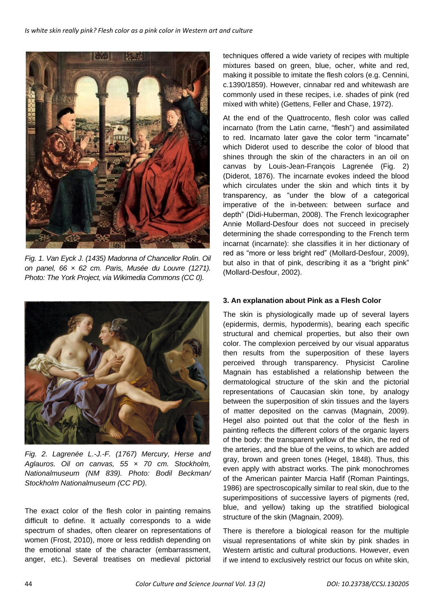

*Fig. 1. Van Eyck J. (1435) Madonna of Chancellor Rolin. Oil on panel, 66 × 62 cm. Paris, Musée du Louvre (1271). Photo: The York Project, via Wikimedia Commons (CC 0).*



*Fig. 2. Lagrenée L.-J.-F. (1767) Mercury, Herse and Aglauros. Oil on canvas, 55 × 70 cm. Stockholm, Nationalmuseum (NM 839). Photo: Bodil Beckman/ Stockholm Nationalmuseum (CC PD).*

The exact color of the flesh color in painting remains difficult to define. It actually corresponds to a wide spectrum of shades, often clearer on representations of women (Frost, 2010), more or less reddish depending on the emotional state of the character (embarrassment, anger, etc.). Several treatises on medieval pictorial techniques offered a wide variety of recipes with multiple mixtures based on green, blue, ocher, white and red, making it possible to imitate the flesh colors (e.g. Cennini, c.1390/1859). However, cinnabar red and whitewash are commonly used in these recipes, i.e. shades of pink (red mixed with white) (Gettens, Feller and Chase, 1972).

At the end of the Quattrocento, flesh color was called incarnato (from the Latin carne, "flesh") and assimilated to red. Incarnato later gave the color term "incarnate" which Diderot used to describe the color of blood that shines through the skin of the characters in an oil on canvas by Louis-Jean-François Lagrenée (Fig. 2) (Diderot, 1876). The incarnate evokes indeed the blood which circulates under the skin and which tints it by transparency, as "under the blow of a categorical imperative of the in-between: between surface and depth" (Didi-Huberman, 2008). The French lexicographer Annie Mollard-Desfour does not succeed in precisely determining the shade corresponding to the French term incarnat (incarnate): she classifies it in her dictionary of red as "more or less bright red" (Mollard-Desfour, 2009), but also in that of pink, describing it as a "bright pink" (Mollard-Desfour, 2002).

### **3. An explanation about Pink as a Flesh Color**

The skin is physiologically made up of several layers (epidermis, dermis, hypodermis), bearing each specific structural and chemical properties, but also their own color. The complexion perceived by our visual apparatus then results from the superposition of these layers perceived through transparency. Physicist Caroline Magnain has established a relationship between the dermatological structure of the skin and the pictorial representations of Caucasian skin tone, by analogy between the superposition of skin tissues and the layers of matter deposited on the canvas (Magnain, 2009). Hegel also pointed out that the color of the flesh in painting reflects the different colors of the organic layers of the body: the transparent yellow of the skin, the red of the arteries, and the blue of the veins, to which are added gray, brown and green tones (Hegel, 1848). Thus, this even apply with abstract works. The pink monochromes of the American painter Marcia Hafif (Roman Paintings, 1986) are spectroscopically similar to real skin, due to the superimpositions of successive layers of pigments (red, blue, and yellow) taking up the stratified biological structure of the skin (Magnain, 2009).

There is therefore a biological reason for the multiple visual representations of white skin by pink shades in Western artistic and cultural productions. However, even if we intend to exclusively restrict our focus on white skin,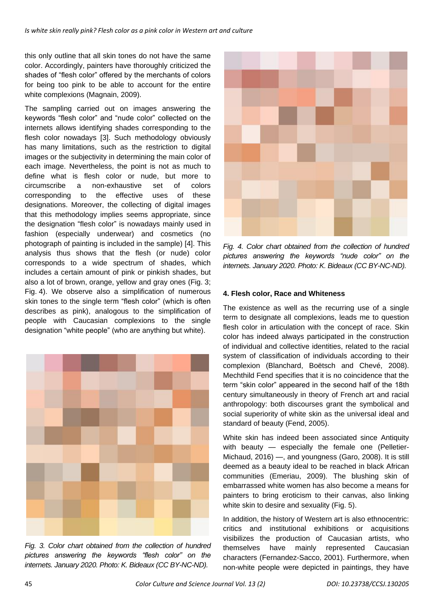this only outline that all skin tones do not have the same color. Accordingly, painters have thoroughly criticized the shades of "flesh color" offered by the merchants of colors for being too pink to be able to account for the entire white complexions (Magnain, 2009).

The sampling carried out on images answering the keywords "flesh color" and "nude color" collected on the internets allows identifying shades corresponding to the flesh color nowadays [3]. Such methodology obviously has many limitations, such as the restriction to digital images or the subjectivity in determining the main color of each image. Nevertheless, the point is not as much to define what is flesh color or nude, but more to circumscribe a non-exhaustive set of colors corresponding to the effective uses of these designations. Moreover, the collecting of digital images that this methodology implies seems appropriate, since the designation "flesh color" is nowadays mainly used in fashion (especially underwear) and cosmetics (no photograph of painting is included in the sample) [4]. This analysis thus shows that the flesh (or nude) color corresponds to a wide spectrum of shades, which includes a certain amount of pink or pinkish shades, but also a lot of brown, orange, yellow and gray ones (Fig. 3; Fig. 4). We observe also a simplification of numerous skin tones to the single term "flesh color" (which is often describes as pink), analogous to the simplification of people with Caucasian complexions to the single designation "white people" (who are anything but white).



*Fig. 3. Color chart obtained from the collection of hundred pictures answering the keywords "flesh color" on the internets. January 2020. Photo: K. Bideaux (CC BY-NC-ND).*



*Fig. 4. Color chart obtained from the collection of hundred pictures answering the keywords "nude color" on the internets. January 2020. Photo: K. Bideaux (CC BY-NC-ND).*

### **4. Flesh color, Race and Whiteness**

The existence as well as the recurring use of a single term to designate all complexions, leads me to question flesh color in articulation with the concept of race. Skin color has indeed always participated in the construction of individual and collective identities, related to the racial system of classification of individuals according to their complexion (Blanchard, Boëtsch and Chevé, 2008). Mechthild Fend specifies that it is no coincidence that the term "skin color" appeared in the second half of the 18th century simultaneously in theory of French art and racial anthropology: both discourses grant the symbolical and social superiority of white skin as the universal ideal and standard of beauty (Fend, 2005).

White skin has indeed been associated since Antiquity with beauty — especially the female one (Pelletier-Michaud, 2016) —, and youngness (Garo, 2008). It is still deemed as a beauty ideal to be reached in black African communities (Emeriau, 2009). The blushing skin of embarrassed white women has also become a means for painters to bring eroticism to their canvas, also linking white skin to desire and sexuality (Fig. 5).

In addition, the history of Western art is also ethnocentric: critics and institutional exhibitions or acquisitions visibilizes the production of Caucasian artists, who themselves have mainly represented Caucasian characters (Fernandez-Sacco, 2001). Furthermore, when non-white people were depicted in paintings, they have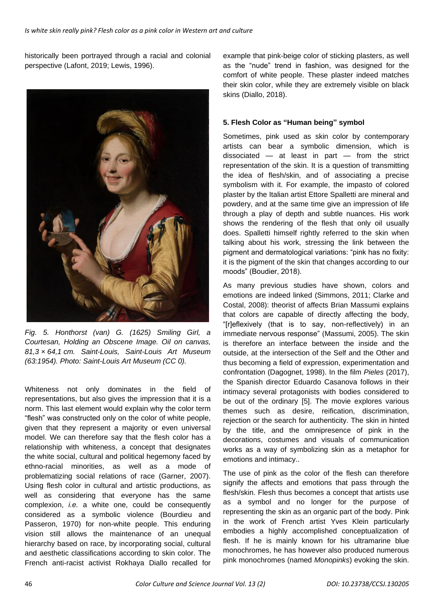historically been portrayed through a racial and colonial perspective (Lafont, 2019; Lewis, 1996).



*Fig. 5. Honthorst (van) G. (1625) Smiling Girl, a Courtesan, Holding an Obscene Image. Oil on canvas, 81,3 × 64,1 cm. Saint-Louis, Saint-Louis Art Museum (63:1954). Photo: Saint-Louis Art Museum (CC 0).*

Whiteness not only dominates in the field of representations, but also gives the impression that it is a norm. This last element would explain why the color term "flesh" was constructed only on the color of white people, given that they represent a majority or even universal model. We can therefore say that the flesh color has a relationship with whiteness, a concept that designates the white social, cultural and political hegemony faced by ethno-racial minorities, as well as a mode of problematizing social relations of race (Garner, 2007). Using flesh color in cultural and artistic productions, as well as considering that everyone has the same complexion, *i.e.* a white one, could be consequently considered as a symbolic violence (Bourdieu and Passeron, 1970) for non-white people. This enduring vision still allows the maintenance of an unequal hierarchy based on race, by incorporating social, cultural and aesthetic classifications according to skin color. The French anti-racist activist Rokhaya Diallo recalled for example that pink-beige color of sticking plasters, as well as the "nude" trend in fashion, was designed for the comfort of white people. These plaster indeed matches their skin color, while they are extremely visible on black skins (Diallo, 2018).

### **5. Flesh Color as "Human being" symbol**

Sometimes, pink used as skin color by contemporary artists can bear a symbolic dimension, which is dissociated — at least in part — from the strict representation of the skin. It is a question of transmitting the idea of flesh/skin, and of associating a precise symbolism with it. For example, the impasto of colored plaster by the Italian artist Ettore Spalletti are mineral and powdery, and at the same time give an impression of life through a play of depth and subtle nuances. His work shows the rendering of the flesh that only oil usually does. Spalletti himself rightly referred to the skin when talking about his work, stressing the link between the pigment and dermatological variations: "pink has no fixity: it is the pigment of the skin that changes according to our moods" (Boudier, 2018).

As many previous studies have shown, colors and emotions are indeed linked (Simmons, 2011; Clarke and Costal, 2008): theorist of affects Brian Massumi explains that colors are capable of directly affecting the body, "[r]eflexively (that is to say, non-reflectively) in an immediate nervous response" (Massumi, 2005). The skin is therefore an interface between the inside and the outside, at the intersection of the Self and the Other and thus becoming a field of expression, experimentation and confrontation (Dagognet, 1998). In the film *Pieles* (2017), the Spanish director Eduardo Casanova follows in their intimacy several protagonists with bodies considered to be out of the ordinary [5]. The movie explores various themes such as desire, reification, discrimination, rejection or the search for authenticity. The skin in hinted by the title, and the omnipresence of pink in the decorations, costumes and visuals of communication works as a way of symbolizing skin as a metaphor for emotions and intimacy..

The use of pink as the color of the flesh can therefore signify the affects and emotions that pass through the flesh/skin. Flesh thus becomes a concept that artists use as a symbol and no longer for the purpose of representing the skin as an organic part of the body. Pink in the work of French artist Yves Klein particularly embodies a highly accomplished conceptualization of flesh. If he is mainly known for his ultramarine blue monochromes, he has however also produced numerous pink monochromes (named *Monopinks*) evoking the skin.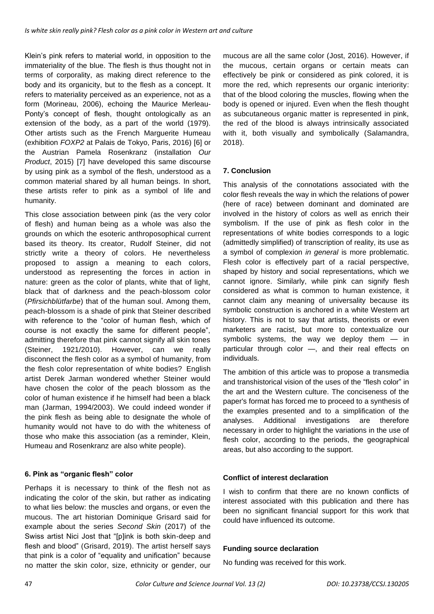Klein's pink refers to material world, in opposition to the immateriality of the blue. The flesh is thus thought not in terms of corporality, as making direct reference to the body and its organicity, but to the flesh as a concept. It refers to materiality perceived as an experience, not as a form (Morineau, 2006), echoing the Maurice Merleau-Ponty's concept of flesh, thought ontologically as an extension of the body, as a part of the world (1979). Other artists such as the French Marguerite Humeau (exhibition *FOXP2* at Palais de Tokyo, Paris, 2016) [6] or the Austrian Pamela Rosenkranz (installation *Our Product*, 2015) [7] have developed this same discourse by using pink as a symbol of the flesh, understood as a common material shared by all human beings. In short, these artists refer to pink as a symbol of life and humanity.

This close association between pink (as the very color of flesh) and human being as a whole was also the grounds on which the esoteric anthroposophical current based its theory. Its creator, Rudolf Steiner, did not strictly write a theory of colors. He nevertheless proposed to assign a meaning to each colors, understood as representing the forces in action in nature: green as the color of plants, white that of light, black that of darkness and the peach-blossom color (*Pfirsichblütfarbe*) that of the human soul. Among them, peach-blossom is a shade of pink that Steiner described with reference to the "color of human flesh, which of course is not exactly the same for different people", admitting therefore that pink cannot signify all skin tones (Steiner, 1921/2010). However, can we really disconnect the flesh color as a symbol of humanity, from the flesh color representation of white bodies? English artist Derek Jarman wondered whether Steiner would have chosen the color of the peach blossom as the color of human existence if he himself had been a black man (Jarman, 1994/2003). We could indeed wonder if the pink flesh as being able to designate the whole of humanity would not have to do with the whiteness of those who make this association (as a reminder, Klein, Humeau and Rosenkranz are also white people).

### **6. Pink as "organic flesh" color**

Perhaps it is necessary to think of the flesh not as indicating the color of the skin, but rather as indicating to what lies below: the muscles and organs, or even the mucous. The art historian Dominique Grisard said for example about the series *Second Skin* (2017) of the Swiss artist Nici Jost that "[p]ink is both skin-deep and flesh and blood" (Grisard, 2019). The artist herself says that pink is a color of "equality and unification" because no matter the skin color, size, ethnicity or gender, our mucous are all the same color (Jost, 2016). However, if the mucous, certain organs or certain meats can effectively be pink or considered as pink colored, it is more the red, which represents our organic interiority: that of the blood coloring the muscles, flowing when the body is opened or injured. Even when the flesh thought as subcutaneous organic matter is represented in pink, the red of the blood is always intrinsically associated with it, both visually and symbolically (Salamandra, 2018).

## **7. Conclusion**

This analysis of the connotations associated with the color flesh reveals the way in which the relations of power (here of race) between dominant and dominated are involved in the history of colors as well as enrich their symbolism. If the use of pink as flesh color in the representations of white bodies corresponds to a logic (admittedly simplified) of transcription of reality, its use as a symbol of complexion *in general* is more problematic. Flesh color is effectively part of a racial perspective, shaped by history and social representations, which we cannot ignore. Similarly, while pink can signify flesh considered as what is common to human existence, it cannot claim any meaning of universality because its symbolic construction is anchored in a white Western art history. This is not to say that artists, theorists or even marketers are racist, but more to contextualize our symbolic systems, the way we deploy them — in particular through color —, and their real effects on individuals.

The ambition of this article was to propose a transmedia and transhistorical vision of the uses of the "flesh color" in the art and the Western culture. The conciseness of the paper's format has forced me to proceed to a synthesis of the examples presented and to a simplification of the analyses. Additional investigations are therefore necessary in order to highlight the variations in the use of flesh color, according to the periods, the geographical areas, but also according to the support.

### **Conflict of interest declaration**

I wish to confirm that there are no known conflicts of interest associated with this publication and there has been no significant financial support for this work that could have influenced its outcome.

### **Funding source declaration**

No funding was received for this work.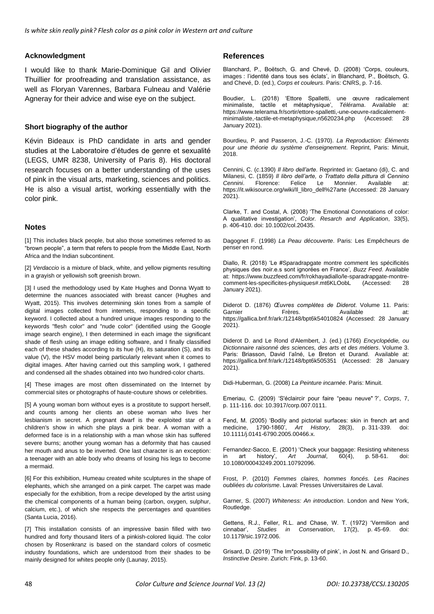#### **Acknowledgment**

I would like to thank Marie-Dominique Gil and Olivier Thuillier for proofreading and translation assistance, as well as Floryan Varennes, Barbara Fulneau and Valérie Agneray for their advice and wise eye on the subject.

#### **Short biography of the author**

Kévin Bideaux is PhD candidate in arts and gender studies at the Laboratoire d'études de genre et sexualité (LEGS, UMR 8238, University of Paris 8). His doctoral research focuses on a better understanding of the uses of pink in the visual arts, marketing, sciences and politics. He is also a visual artist, working essentially with the color pink.

#### **Notes**

[1] This includes black people, but also those sometimes referred to as "brown people", a term that refers to people from the Middle East, North Africa and the Indian subcontinent.

[2] *Verdaccio* is a mixture of black, white, and yellow pigments resulting in a grayish or yellowish soft greenish brown.

[3] I used the methodology used by Kate Hughes and Donna Wyatt to determine the nuances associated with breast cancer (Hughes and Wyatt, 2015). This involves determining skin tones from a sample of digital images collected from internets, responding to a specific keyword. I collected about a hundred unique images responding to the keywords "flesh color" and "nude color" (identified using the Google image search engine), I then determined in each image the significant shade of flesh using an image editing software, and I finally classified each of these shades according to its hue (H), its saturation (S), and its value (V), the HSV model being particularly relevant when it comes to digital images. After having carried out this sampling work, I gathered and condensed all the shades obtained into two hundred-color charts.

[4] These images are most often disseminated on the Internet by commercial sites or photographs of haute-couture shows or celebrities.

[5] A young woman born without eyes is a prostitute to support herself, and counts among her clients an obese woman who lives her lesbianism in secret. A pregnant dwarf is the exploited star of a children's show in which she plays a pink bear. A woman with a deformed face is in a relationship with a man whose skin has suffered severe burns; another young woman has a deformity that has caused her mouth and anus to be inverted. One last character is an exception: a teenager with an able body who dreams of losing his legs to become a mermaid.

[6] For this exhibition, Humeau created white sculptures in the shape of elephants, which she arranged on a pink carpet. The carpet was made especially for the exhibition, from a recipe developed by the artist using the chemical components of a human being (carbon, oxygen, sulphur, calcium, etc.), of which she respects the percentages and quantities (Santa Lucia, 2016).

[7] This installation consists of an impressive basin filled with two hundred and forty thousand liters of a pinkish-colored liquid. The color chosen by Rosenkranz is based on the standard colors of cosmetic industry foundations, which are understood from their shades to be mainly designed for whites people only (Launay, 2015).

#### **References**

Blanchard, P., Boëtsch, G. and Chevé, D. (2008) 'Corps, couleurs, images : l'identité dans tous ses éclats', in Blanchard, P., Boëtsch, G. and Chevé, D. (ed.), *Corps et couleurs*. Paris: CNRS, p. 7-16.

Boudier, L. (2018) 'Ettore Spalletti, une œuvre radicalement minimaliste, tactile et métaphysique', *Télérama*. Available at: https://www.telerama.fr/sortir/ettore-spalletti,-une-oeuvre-radicalementminimaliste,-tactile-et-metaphysique,n5620234.php (Accessed: 28 January 2021).

Bourdieu, P. and Passeron, J.-C. (1970). *La Reproduction: Éléments pour une théorie du système d'enseignement*. Reprint, Paris: Minuit, 2018.

Cennini, C. (*c*.1390) *Il libro dell'arte*. Reprinted in: Gaetano (di), C. and Milanesi, C. (1859) *Il libro dell'arte, o Trattato della pittura di Cennino Cennini*. Florence: Felice Le Monnier. Available at: https://it.wikisource.org/wiki/Il\_libro\_dell%27arte (Accessed: 28 January 2021).

Clarke, T. and Costal, A. (2008) 'The Emotional Connotations of color: A qualitative investigation', *Color. Resarch and Application*, 33(5), p. 406-410. doi: 10.1002/col.20435.

Dagognet F. (1998) *La Peau découverte*. Paris: Les Empêcheurs de penser en rond.

Diallo, R. (2018) 'Le #Sparadrapgate montre comment les spécificités physiques des noir.e.s sont ignorées en France', *Buzz Feed*. Available at: https://www.buzzfeed.com/fr/rokhayadiallo/le-sparadrapgate-montrecomment-les-specificites-physiques#.mt6KLOobL (Accessed: 28 January 2021).

Diderot D. (1876) *Œuvres complètes de Diderot*. Volume 11. Paris: Garnier Frères. Available at: https://gallica.bnf.fr/ark:/12148/bpt6k54010824 (Accessed: 28 January 2021).

Diderot D. and Le Rond d'Alembert, J. (ed.) (1766) *Encyclopédie, ou Dictionnaire raisonné des sciences, des arts et des métiers*. Volume 3. Paris: Briasson, David l'aîné, Le Breton et Durand. Available at: https://gallica.bnf.fr/ark:/12148/bpt6k505351 (Accessed: 28 January 2021).

Didi-Huberman, G. (2008) *La Peinture incarnée*. Paris: Minuit.

Emeriau, C. (2009) 'S'éclaircir pour faire "peau neuve" ?', *Corps*, 7, p. 111-116. doi: 10.3917/corp.007.0111.

Fend, M. (2005) 'Bodily and pictorial surfaces: skin in french art and medicine, 1790-1860', *Art History*, 28(3), p. 311-339. doi: 10.1111/j.0141-6790.2005.00466.x.

Fernandez-Sacco, E. (2001) 'Check your baggage: Resisting whiteness in art history', *Art Journal*, 60(4), p. 58-61. doi: 10.1080/00043249.2001.10792096.

Frost, P. (2010) *Femmes claires, hommes foncés. Les Racines oubliées du colorisme*. Laval: Presses Universitaires de Laval.

Garner, S. (2007) *Whiteness: An introduction*. London and New York, Routledge.

Gettens, R.J., Feller, R.L. and Chase, W. T. (1972) 'Vermilion and cinnabar', Studies in Conservation, 17(2), p. 45-69. doi: Studies in Conservation, 17(2), p. 45-69. doi: 10.1179/sic.1972.006.

Grisard, D. (2019) 'The Im\*possibility of pink', in Jost N. and Grisard D., *Instinctive Desire*. Zurich: Fink, p. 13-60.